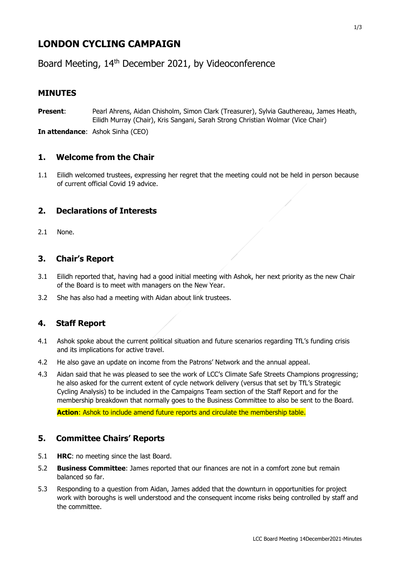# **LONDON CYCLING CAMPAIGN**

Board Meeting, 14th December 2021, by Videoconference

# **MINUTES**

**Present**: Pearl Ahrens, Aidan Chisholm, Simon Clark (Treasurer), Sylvia Gauthereau, James Heath, Eilidh Murray (Chair), Kris Sangani, Sarah Strong Christian Wolmar (Vice Chair)

**In attendance**: Ashok Sinha (CEO)

#### **1. Welcome from the Chair**

1.1 Eilidh welcomed trustees, expressing her regret that the meeting could not be held in person because of current official Covid 19 advice.

# **2. Declarations of Interests**

2.1 None.

#### **3. Chair's Report**

- 3.1 Eilidh reported that, having had a good initial meeting with Ashok, her next priority as the new Chair of the Board is to meet with managers on the New Year.
- 3.2 She has also had a meeting with Aidan about link trustees.

# **4. Staff Report**

- 4.1 Ashok spoke about the current political situation and future scenarios regarding TfL's funding crisis and its implications for active travel.
- 4.2 He also gave an update on income from the Patrons' Network and the annual appeal.
- 4.3 Aidan said that he was pleased to see the work of LCC's Climate Safe Streets Champions progressing; he also asked for the current extent of cycle network delivery (versus that set by TfL's Strategic Cycling Analysis) to be included in the Campaigns Team section of the Staff Report and for the membership breakdown that normally goes to the Business Committee to also be sent to the Board.

**Action**: Ashok to include amend future reports and circulate the membership table.

#### **5. Committee Chairs' Reports**

- 5.1 **HRC**: no meeting since the last Board.
- 5.2 **Business Committee**: James reported that our finances are not in a comfort zone but remain balanced so far.
- 5.3 Responding to a question from Aidan, James added that the downturn in opportunities for project work with boroughs is well understood and the consequent income risks being controlled by staff and the committee.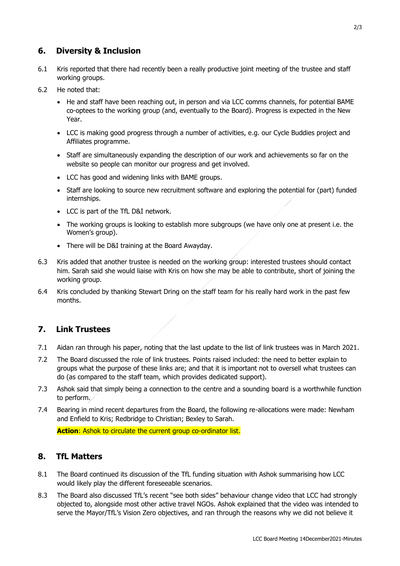#### **6. Diversity & Inclusion**

- 6.1 Kris reported that there had recently been a really productive joint meeting of the trustee and staff working groups.
- 6.2 He noted that:
	- He and staff have been reaching out, in person and via LCC comms channels, for potential BAME co-optees to the working group (and, eventually to the Board). Progress is expected in the New Year.
	- LCC is making good progress through a number of activities, e.g. our Cycle Buddies project and Affiliates programme.
	- Staff are simultaneously expanding the description of our work and achievements so far on the website so people can monitor our progress and get involved.
	- LCC has good and widening links with BAME groups.
	- Staff are looking to source new recruitment software and exploring the potential for (part) funded internships.
	- LCC is part of the TfL D&I network.
	- The working groups is looking to establish more subgroups (we have only one at present i.e. the Women's group).
	- There will be D&I training at the Board Awayday.
- 6.3 Kris added that another trustee is needed on the working group: interested trustees should contact him. Sarah said she would liaise with Kris on how she may be able to contribute, short of joining the working group.
- 6.4 Kris concluded by thanking Stewart Dring on the staff team for his really hard work in the past few months.

# **7. Link Trustees**

- 7.1 Aidan ran through his paper, noting that the last update to the list of link trustees was in March 2021.
- 7.2 The Board discussed the role of link trustees. Points raised included: the need to better explain to groups what the purpose of these links are; and that it is important not to oversell what trustees can do (as compared to the staff team, which provides dedicated support).
- 7.3 Ashok said that simply being a connection to the centre and a sounding board is a worthwhile function to perform.
- 7.4 Bearing in mind recent departures from the Board, the following re-allocations were made: Newham and Enfield to Kris; Redbridge to Christian; Bexley to Sarah.

**Action**: Ashok to circulate the current group co-ordinator list.

#### **8. TfL Matters**

- 8.1 The Board continued its discussion of the TfL funding situation with Ashok summarising how LCC would likely play the different foreseeable scenarios.
- 8.3 The Board also discussed TfL's recent "see both sides" behaviour change video that LCC had strongly objected to, alongside most other active travel NGOs. Ashok explained that the video was intended to serve the Mayor/TfL's Vision Zero objectives, and ran through the reasons why we did not believe it